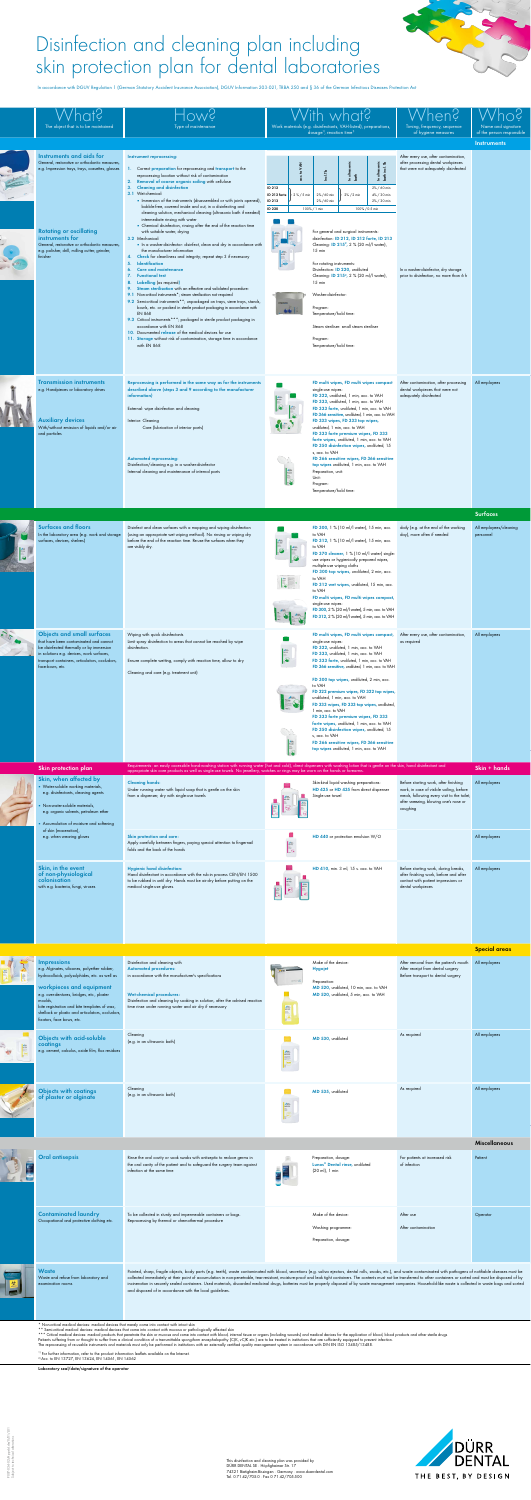



|                                                 | e.g. Impression trays, trays, cassettes, glasses                                                                                                                                                                                          | 1. Correct preparation for reprocessing and transport to the<br>reprocessing location without risk of contamination<br>2. Removal of coarse organic soiling with cellulose<br>3. Cleaning and disinfection<br>3.1 Wet-chemical:<br>• Immersion of the instruments (disassembled or with joints opened),                                                                                                                                                                                                                                                                                                                                                                                                                                                                                       | ₹<br>$\mathbf{Q}$<br>ID 212<br>ID 212 forte<br>2 % / 5 min<br>ID 213                                                                                                                                  | Ind. Tb<br>2%/60 min<br>2%/60 min                                                                                                         | 호 출<br>노<br>$2\% / 2$ min                                                                                                                                                                                                                                                                                                                                                             | incl. T<br>ultrasoni<br>는 좋<br>- 무<br>2% / 60 min<br>4% / 30 min<br>2% / 30 min                                                                                                                                                 | that were not adequately disinfected                                                                                             |                                       |
|-------------------------------------------------|-------------------------------------------------------------------------------------------------------------------------------------------------------------------------------------------------------------------------------------------|-----------------------------------------------------------------------------------------------------------------------------------------------------------------------------------------------------------------------------------------------------------------------------------------------------------------------------------------------------------------------------------------------------------------------------------------------------------------------------------------------------------------------------------------------------------------------------------------------------------------------------------------------------------------------------------------------------------------------------------------------------------------------------------------------|-------------------------------------------------------------------------------------------------------------------------------------------------------------------------------------------------------|-------------------------------------------------------------------------------------------------------------------------------------------|---------------------------------------------------------------------------------------------------------------------------------------------------------------------------------------------------------------------------------------------------------------------------------------------------------------------------------------------------------------------------------------|---------------------------------------------------------------------------------------------------------------------------------------------------------------------------------------------------------------------------------|----------------------------------------------------------------------------------------------------------------------------------|---------------------------------------|
|                                                 | <b>Rotating or oscillating</b><br>instruments for<br>General, restorative or orthodontic measures,<br>e.g. polisher, drill, milling cutter, grinder,                                                                                      | bubble-free, covered inside and out, in a disinfecting and<br>cleaning solution, mechanical cleaning (ultrasonic bath if needed)<br>intermediate rinsing with water<br>• Chemical disinfection, rinsing after the end of the reaction time<br>with suitable water, drying<br>3.2 Mechanical:<br>In a washer-disinfector: disinfect, clean and dry in accordance with<br>the manufacturer information                                                                                                                                                                                                                                                                                                                                                                                          | <b>ID 220</b>                                                                                                                                                                                         | 100% / 1 min<br>$15$ min                                                                                                                  | For general and surgical instruments:<br>disinfection: ID 212, ID 212 forte, ID 213<br>Cleaning: ID 215 <sup>2</sup> , 2 % (20 ml/l water),                                                                                                                                                                                                                                           | 100% / 0.5 min                                                                                                                                                                                                                  |                                                                                                                                  |                                       |
|                                                 | finisher                                                                                                                                                                                                                                  | Check for cleanliness and integrity; repeat step 3 if necessary<br>4.<br><b>Identification</b><br>5.<br><b>Care and maintenance</b><br>6.<br><b>Functional test</b><br>7.<br>8. Labelling (as required)<br>Steam sterilisation with an effective and validated procedure:<br>9.<br>9.1 Non-critical instruments <sup>*</sup> ; steam sterilisation not required<br>9.2 Semi-critical instruments **; unpackaged on trays, sieve trays, stands,<br>bowls, etc. or packed in sterile product packaging in accordance with<br><b>EN 868</b><br>9.3 Critical instruments ***; packaged in sterile product packaging in<br>accordance with EN 868<br>10. Documented release of the medical devices for use<br>11. Storage without risk of contamination, storage time in accordance<br>with EN 868 | $\circledast$                                                                                                                                                                                         | For rotating instruments:<br>$15$ min<br>Washer-disinfector:<br>Program:<br>Temperature/hold time:<br>Program:<br>Temperature/hold time:  | Disinfection: ID 220, undiluted<br>Cleaning: <b>ID 215</b> <sup>2</sup> , 2 % (20 ml/l water),<br>Steam steriliser: small steam steriliser                                                                                                                                                                                                                                            |                                                                                                                                                                                                                                 | In a washer-disinfector, dry storage<br>prior to disinfection, no more than 6 h                                                  |                                       |
|                                                 | <b>Transmission instruments</b><br>e.g. Handpieces or laboratory drives<br><b>Auxiliary devices</b><br>With/without emission of liquids and/or air<br>and particles                                                                       | Reprocessing is performed in the same way as for the instruments<br>described above (steps 3 and 9 according to the manufacturer<br>information)<br>External: wipe disinfection and cleaning<br>Interior: Cleaning<br>Care (lubrication of interior parts)<br><b>Automated reprocessing:</b><br>Disinfection/cleaning e.g. in a washer-disinfector<br>Internal cleaning and maintenance of internal parts                                                                                                                                                                                                                                                                                                                                                                                     | <b>ARTICIPAL DESCRIPTION OF REAL PROPERTY</b><br>$\bullet$                                                                                                                                            | single-use wipes:<br>undiluted, 1 min, acc. to VAH<br>s, acc. to VAH<br>Preparation, unit:<br>Unit:<br>Program:<br>Temperature/hold time: | FD multi wipes, FD multi wipes compact<br>FD 322, undiluted, 1 min, acc. to VAH<br>FD 333, undiluted, 1 min, acc. to VAH<br>FD 333 forte, undiluted, 1 min, acc. to VAH<br>FD 333 wipes, FD 333 top wipes,<br>FD 333 forte premium wipes, FD 333<br>forte wipes, undiluted, 1 min, acc. to VAH<br>FD 350 disinfection wipes, undiluted, 15<br>top wipes undiluted, 1 min, acc. to VAH | FD 366 sensitive, undiluted, 1 min, acc. to VAH<br>FD 366 sensitive wipes, FD 366 sensitive                                                                                                                                     | After contamination, after processing<br>dental workpieces that were not<br>adequately disinfected                               | All employees<br><b>Surfaces</b>      |
|                                                 | <b>Surfaces and floors</b><br>In the laboratory area (e.g. work and storage<br>surfaces, devices, shelves)                                                                                                                                | Disinfect and clean surfaces with a mopping and wiping disinfection<br>(using an appropriate wet wiping method). No rinsing or wiping dry<br>before the end of the reaction time. Re-use the surfaces when they<br>are visibly dry.                                                                                                                                                                                                                                                                                                                                                                                                                                                                                                                                                           | $\begin{array}{c}\n\sqrt{2}332 \\ \hline\n\end{array}$<br>$\bullet$<br>$\begin{array}{ c c }\hline \dots & \dots & \dots \\ \hline \dots & \dots & \dots \\ \hline \dots & \dots & \dots \end{array}$ | to VAH<br>to VAH<br>multiple-use wiping cloths<br>to VAH<br>to VAH<br>single-use wipes:                                                   | FD 300, 1 % (10 ml/l water), 15 min, acc.<br>FD 312, 1 % (10 ml/l water), 15 min, acc.<br>use wipes or hygienically prepared wipes,<br>FD 300 top wipes, undiluted, 2 min, acc.<br>FD 312 wet wipes, undiluted, 15 min, acc.                                                                                                                                                          | FD 370 cleaner, 1 % (10 ml/l water) single-<br>FD multi wipes, FD multi wipes compact,<br>FD 300, 2 % (20 ml/l water), 5 min, acc. to VAH<br>FD 312, 2 % (20 ml/l water), 5 min, acc. to VAH                                    | daily (e.g. at the end of the working<br>day), more often if needed                                                              | All employees/cleaning<br>personnel   |
|                                                 | <b>Objects and small surfaces</b><br>that have been contaminated and cannot<br>be disinfected thermally or by immersion<br>in solutions e.g. devices, work surfaces,<br>transport containers, articulators, occludors,<br>face-bows, etc. | Wiping with quick disinfectants<br>Limit spray disinfection to areas that cannot be reached by wipe<br>disinfection.<br>Ensure complete wetting, comply with reaction time, allow to dry<br>Cleaning and care (e.g. treatment unit)                                                                                                                                                                                                                                                                                                                                                                                                                                                                                                                                                           | <b>ARA</b>                                                                                                                                                                                            | single-use wipes:<br>to VAH<br>1 min, acc. to VAH<br>s, acc. to VAH                                                                       | FD 322, undiluted, 1 min, acc. to VAH<br>FD 333, undiluted, 1 min, acc. to VAH<br>FD 333 forte, undiluted, 1 min, acc. to VAH<br>FD 300 top wipes, undiluted, 2 min, acc.<br>undiluted, 1 min, acc. to VAH<br>FD 333 forte premium wipes, FD 333<br>forte wipes, undiluted, 1 min, acc. to VAH<br>FD 350 disinfection wipes, undiluted, 15<br>top wipes undiluted, 1 min, acc. to VAH | FD multi wipes, FD multi wipes compact,<br>FD 366 sensitive, undiluted, 1 min, acc. to VAH<br>FD 322 premium wipes, FD 322 top wipes,<br>FD 333 wipes, FD 333 top wipes, undiluted,<br>FD 366 sensitive wipes, FD 366 sensitive | After every use, after contamination,<br>as required                                                                             | All employees                         |
|                                                 | Skin protection plan<br>Skin, when affected by<br>• Water-soluble working materials,<br>e.g. disinfectants, cleaning agents                                                                                                               | Requirements: an easily accessible hand-washing station with running water (hot and cold), direct dispensers with washing lotion that is gentle on the skin, hand disinfectant and appropriate skin care products as well as s<br><b>Cleaning hands:</b><br>Under running water with liquid soap that is gentle on the skin<br>from a dispenser, dry with single-use towels                                                                                                                                                                                                                                                                                                                                                                                                                   |                                                                                                                                                                                                       | Single-use towel                                                                                                                          | Skin-kind liquid washing preparations:<br>HD 425 or HD 435 from direct dispenser                                                                                                                                                                                                                                                                                                      |                                                                                                                                                                                                                                 | Before starting work, after finishing<br>work, in case of visible soiling, before<br>meals, following every visit to the toilet, | Skin + hands<br>All employees         |
|                                                 | Non-water-soluble materials,<br>e.g. organic solvents, petroleum ether<br>- Accumulation of moisture and softening<br>of skin (maceration),                                                                                               |                                                                                                                                                                                                                                                                                                                                                                                                                                                                                                                                                                                                                                                                                                                                                                                               |                                                                                                                                                                                                       |                                                                                                                                           |                                                                                                                                                                                                                                                                                                                                                                                       |                                                                                                                                                                                                                                 | after sneezing, blowing one's nose or<br>coughing                                                                                |                                       |
|                                                 | e.g. when wearing gloves<br>Skin, in the event                                                                                                                                                                                            | Skin protection and care:<br>Apply carefully between fingers, paying special attention to fingernail<br>folds and the back of the hands<br><b>Hygienic hand disinfection:</b>                                                                                                                                                                                                                                                                                                                                                                                                                                                                                                                                                                                                                 |                                                                                                                                                                                                       |                                                                                                                                           | HD 440 or protection emulsion W/O<br>HD 410, min. 3 ml, 15 s. acc. to VAH                                                                                                                                                                                                                                                                                                             |                                                                                                                                                                                                                                 | Before starting work, during breaks,                                                                                             | All employees<br>All employees        |
|                                                 | of non-physiological<br>colonisation<br>with e.g. bacteria, fungi, viruses                                                                                                                                                                | Hand disinfectant in accordance with the rub-in process CEN/EN 1500<br>to be rubbed in until dry. Hands must be air-dry before putting on the<br>medical single-use gloves.                                                                                                                                                                                                                                                                                                                                                                                                                                                                                                                                                                                                                   |                                                                                                                                                                                                       |                                                                                                                                           |                                                                                                                                                                                                                                                                                                                                                                                       |                                                                                                                                                                                                                                 | after finishing work, before and after<br>contact with patient impressions or<br>dental workpieces                               |                                       |
|                                                 | <b>Impressions</b><br>e.g. Alginates, silicones, polyether rubber,<br>hydrocolloids, polysulphides, etc. as well as                                                                                                                       | Disinfection and cleaning with<br><b>Automated procedures:</b><br>in accordance with the manufacturer's specifications                                                                                                                                                                                                                                                                                                                                                                                                                                                                                                                                                                                                                                                                        |                                                                                                                                                                                                       | Make of the device:<br><b>Hygojet</b>                                                                                                     |                                                                                                                                                                                                                                                                                                                                                                                       |                                                                                                                                                                                                                                 | After removal from the patient's mouth<br>After receipt from dental surgery<br>Before transport to dental surgery                | <b>Special areas</b><br>All employees |
|                                                 | workpieces and equipment<br>e.g. over-dentures, bridges, etc., plaster<br>moulds,<br>bite registration and bite templates of wax,<br>shellack or plastic and articulators, occludors,<br>fixators, face bows, etc.                        | <b>Wet-chemical procedures:</b><br>Disinfection and cleaning by soaking in solution, after the advised reaction<br>time rinse under running water and air dry if necessary                                                                                                                                                                                                                                                                                                                                                                                                                                                                                                                                                                                                                    | <b>A</b>                                                                                                                                                                                              | Preparation:                                                                                                                              | MD 520, undiluted, 10 min, acc. to VAH<br>MD 520, undiluted, 5 min, acc. to VAH                                                                                                                                                                                                                                                                                                       |                                                                                                                                                                                                                                 |                                                                                                                                  |                                       |
|                                                 | <b>Objects with acid-soluble</b><br>coatings<br>e.g. cement, calculus, oxide film, flux residues                                                                                                                                          | Cleaning<br>(e.g. in an ultrasonic bath)                                                                                                                                                                                                                                                                                                                                                                                                                                                                                                                                                                                                                                                                                                                                                      |                                                                                                                                                                                                       | MD 530, undiluted                                                                                                                         |                                                                                                                                                                                                                                                                                                                                                                                       |                                                                                                                                                                                                                                 | As required                                                                                                                      | All employees                         |
|                                                 | Objects with coatings<br>of plaster or alginate                                                                                                                                                                                           | Cleaning<br>(e.g. in an ultrasonic bath)                                                                                                                                                                                                                                                                                                                                                                                                                                                                                                                                                                                                                                                                                                                                                      |                                                                                                                                                                                                       | MD 535, undiluted                                                                                                                         |                                                                                                                                                                                                                                                                                                                                                                                       |                                                                                                                                                                                                                                 | As required                                                                                                                      | All employees                         |
|                                                 | <b>Oral antisepsis</b>                                                                                                                                                                                                                    | Rinse the oral cavity or soak swabs with antiseptic to reduce germs in<br>the oral cavity of the patient and to safeguard the surgery team against<br>infection at the same time                                                                                                                                                                                                                                                                                                                                                                                                                                                                                                                                                                                                              |                                                                                                                                                                                                       | Preparation, dosage:<br>(20 ml), 1 min                                                                                                    | Lunos <sup>®</sup> Dental rinse, undiluted                                                                                                                                                                                                                                                                                                                                            |                                                                                                                                                                                                                                 | For patients at increased risk<br>of infection                                                                                   | Miscellaneous<br>Patient              |
|                                                 | <b>Contaminated laundry</b><br>Occupational and protective clothing etc.                                                                                                                                                                  | To be collected in sturdy and impermeable containers or bags.<br>Reprocessing by thermal or chemothermal procedure                                                                                                                                                                                                                                                                                                                                                                                                                                                                                                                                                                                                                                                                            |                                                                                                                                                                                                       | Make of the device:<br>Washing programme:<br>Preparation, dosage:                                                                         |                                                                                                                                                                                                                                                                                                                                                                                       |                                                                                                                                                                                                                                 | After use<br>After contamination                                                                                                 | Operator                              |
|                                                 | <b>Waste</b><br>Waste and refuse from laboratory and<br>examination rooms                                                                                                                                                                 | Pointed, sharp, fragile objects, body parts (e.g. teeth), waste contaminated with blood, secretions (e.g. saliva ejectors, dental rolls, swabs, etc.), and waste contaminated with pathogens of notifiable diseases must t<br>collected immediately at their point of accumulation in non-penetrable, tear-resistant, moisture-proof and leak tight containers. The contents must not be transferred to other containers or sorted and must be disposed of l<br>incineration in securely sealed containers. Used materials, discarded medicinal drugs, batteries must be properly disposed of by waste management companies. Household-like waste is collected in waste bags and sort<br>and disposed of in accordance with the local guidelines.                                             |                                                                                                                                                                                                       |                                                                                                                                           |                                                                                                                                                                                                                                                                                                                                                                                       |                                                                                                                                                                                                                                 |                                                                                                                                  |                                       |
|                                                 | * Non-critical medical devices: medical devices that merely come into contact with intact skin                                                                                                                                            | ** Semi-critical medical devices: medical devices that come into contact with mucosa or pathologically affected skin<br>*** Critical medical devices: medical products that penetrate the skin or mucosa and come into contact with blood, internal tissue or organs (including wounds) and medical devices for the application of blood, blood produc<br>Patients suffering from or thought to suffer from a clinical condition of a transmittable spongiform encephalopathy (CJK, vCJK etc.) are to be treated in institutions that are sufficiently equipped to prevent infection.<br>The reprocessing of re-usable instruments and materials must only be performed in institutions with an externally certified quality management system in accordance with DIN EN ISO 13485/13488.     |                                                                                                                                                                                                       |                                                                                                                                           |                                                                                                                                                                                                                                                                                                                                                                                       |                                                                                                                                                                                                                                 |                                                                                                                                  |                                       |
|                                                 | <sup>1)</sup> For further information, refer to the product information leaflets available on the Internet.<br><sup>2)</sup> Acc. to EN 13727. EN 13624. EN 14561. EN 14562<br>Laboratory seal/date/signature of the operator             |                                                                                                                                                                                                                                                                                                                                                                                                                                                                                                                                                                                                                                                                                                                                                                                               |                                                                                                                                                                                                       |                                                                                                                                           |                                                                                                                                                                                                                                                                                                                                                                                       |                                                                                                                                                                                                                                 |                                                                                                                                  |                                       |
| .02/App-dd.de/0/01/L01<br>technical alterations |                                                                                                                                                                                                                                           |                                                                                                                                                                                                                                                                                                                                                                                                                                                                                                                                                                                                                                                                                                                                                                                               |                                                                                                                                                                                                       |                                                                                                                                           |                                                                                                                                                                                                                                                                                                                                                                                       |                                                                                                                                                                                                                                 | DÜRR<br>DENTAL                                                                                                                   |                                       |





## Disinfection and cleaning plan including skin protection plan for dental laboratories

In accordance with DGUV Regulation 1 (German Statutory Accident Insurance Association), DGUV Information 203-021, TRBA 250 and § 36 of the German Infectious Diseases Protection Act

|   |                                                                           |                                                                                                                                                                                                                                                                                                                                                                                                                                                                                                                                                                                                                                                                                                                                                      |  |                                                                                                 |                                                | <b>Miscellaneous</b> |  |
|---|---------------------------------------------------------------------------|------------------------------------------------------------------------------------------------------------------------------------------------------------------------------------------------------------------------------------------------------------------------------------------------------------------------------------------------------------------------------------------------------------------------------------------------------------------------------------------------------------------------------------------------------------------------------------------------------------------------------------------------------------------------------------------------------------------------------------------------------|--|-------------------------------------------------------------------------------------------------|------------------------------------------------|----------------------|--|
| E | <b>Oral antisepsis</b>                                                    | Rinse the oral cavity or soak swabs with antiseptic to reduce germs in<br>the oral cavity of the patient and to safeguard the surgery team against<br>infection at the same time                                                                                                                                                                                                                                                                                                                                                                                                                                                                                                                                                                     |  | Preparation, dosage:<br>Lunos <sup>®</sup> Dental rinse, undiluted<br>$(20 \text{ ml})$ , 1 min | For patients at increased risk<br>of infection | Patient              |  |
|   | <b>Contaminated laundry</b><br>Occupational and protective clothing etc.  | To be collected in sturdy and impermeable containers or bags.<br>Reprocessing by thermal or chemothermal procedure                                                                                                                                                                                                                                                                                                                                                                                                                                                                                                                                                                                                                                   |  | Make of the device:<br>Washing programme:<br>Preparation, dosage:                               | After use<br>After contamination               | Operator             |  |
|   | <b>Waste</b><br>Waste and refuse from laboratory and<br>examination rooms | Pointed, sharp, fragile objects, body parts (e.g. teeth), waste contaminated with blood, secretions (e.g. saliva ejectors, dental rolls, swabs, etc.), and waste contaminated with pathogens of notifiable diseases must be<br>collected immediately at their point of accumulation in non-penetrable, tear-resistant, moisture-proof and leak tight containers. The contents must not be transferred to other containers or sorted and must be disposed of b<br>incineration in securely sealed containers. Used materials, discarded medicinal drugs, batteries must be properly disposed of by waste management companies. Household-like waste is collected in waste bags and sorted<br>and disposed of in accordance with the local guidelines. |  |                                                                                                 |                                                |                      |  |